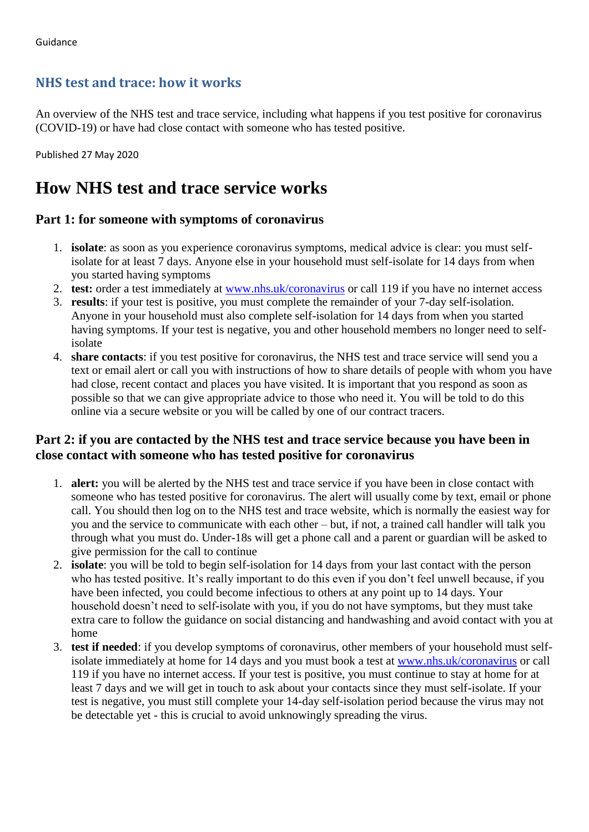## **NHS test and trace: how it works**

An overview of the NHS test and trace service, including what happens if you test positive for coronavirus (COVID-19) or have had close contact with someone who has tested positive.

Published 27 May 2020

# **How NHS test and trace service works**

### **Part 1: for someone with symptoms of coronavirus**

- 1. **isolate**: as soon as you experience coronavirus symptoms, medical advice is clear: you must selfisolate for at least 7 days. Anyone else in your household must self-isolate for 14 days from when you started having symptoms
- 2. **test:** order a test immediately at [www.nhs.uk/coronavirus](https://www.nhs.uk/conditions/coronavirus-covid-19/) or call 119 if you have no internet access
- 3. **results**: if your test is positive, you must complete the remainder of your 7-day self-isolation. Anyone in your household must also complete self-isolation for 14 days from when you started having symptoms. If your test is negative, you and other household members no longer need to selfisolate
- 4. **share contacts**: if you test positive for coronavirus, the NHS test and trace service will send you a text or email alert or call you with instructions of how to share details of people with whom you have had close, recent contact and places you have visited. It is important that you respond as soon as possible so that we can give appropriate advice to those who need it. You will be told to do this online via a secure website or you will be called by one of our contract tracers.

### **Part 2: if you are contacted by the NHS test and trace service because you have been in close contact with someone who has tested positive for coronavirus**

- 1. **alert:** you will be alerted by the NHS test and trace service if you have been in close contact with someone who has tested positive for coronavirus. The alert will usually come by text, email or phone call. You should then log on to the NHS test and trace website, which is normally the easiest way for you and the service to communicate with each other – but, if not, a trained call handler will talk you through what you must do. Under-18s will get a phone call and a parent or guardian will be asked to give permission for the call to continue
- 2. **isolate**: you will be told to begin self-isolation for 14 days from your last contact with the person who has tested positive. It's really important to do this even if you don't feel unwell because, if you have been infected, you could become infectious to others at any point up to 14 days. Your household doesn't need to self-isolate with you, if you do not have symptoms, but they must take extra care to follow the guidance on social distancing and handwashing and avoid contact with you at home
- 3. **test if needed**: if you develop symptoms of coronavirus, other members of your household must selfisolate immediately at home for 14 days and you must book a test at [www.nhs.uk/coronavirus](https://www.nhs.uk/conditions/coronavirus-covid-19/) or call 119 if you have no internet access. If your test is positive, you must continue to stay at home for at least 7 days and we will get in touch to ask about your contacts since they must self-isolate. If your test is negative, you must still complete your 14-day self-isolation period because the virus may not be detectable yet - this is crucial to avoid unknowingly spreading the virus.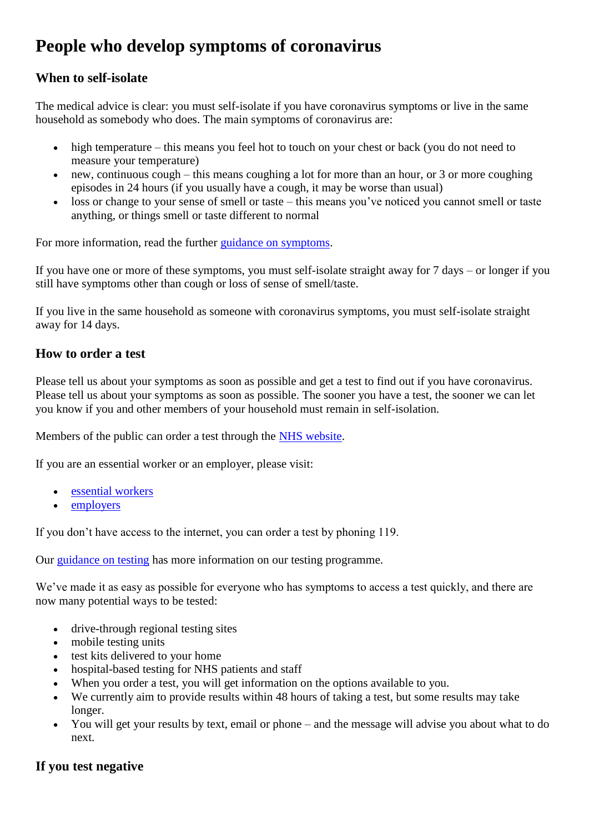# **People who develop symptoms of coronavirus**

## **When to self-isolate**

The medical advice is clear: you must self-isolate if you have coronavirus symptoms or live in the same household as somebody who does. The main symptoms of coronavirus are:

- high temperature this means you feel hot to touch on your chest or back (you do not need to measure your temperature)
- $\bullet$  new, continuous cough this means coughing a lot for more than an hour, or 3 or more coughing episodes in 24 hours (if you usually have a cough, it may be worse than usual)
- loss or change to your sense of smell or taste this means you've noticed you cannot smell or taste anything, or things smell or taste different to normal

For more information, read the further [guidance on symptoms.](https://www.nhs.uk/conditions/coronavirus-covid-19/check-if-you-have-coronavirus-symptoms/)

If you have one or more of these symptoms, you must self-isolate straight away for 7 days – or longer if you still have symptoms other than cough or loss of sense of smell/taste.

If you live in the same household as someone with coronavirus symptoms, you must self-isolate straight away for 14 days.

## **How to order a test**

Please tell us about your symptoms as soon as possible and get a test to find out if you have coronavirus. Please tell us about your symptoms as soon as possible. The sooner you have a test, the sooner we can let you know if you and other members of your household must remain in self-isolation.

Members of the public can order a test through the [NHS website.](https://www.nhs.uk/ask-for-a-coronavirus-test)

If you are an essential worker or an employer, please visit:

- [essential workers](https://www.gov.uk/apply-coronavirus-test-essential-workers)
- [employers](https://test-for-coronavirus.service.gov.uk/appointment)

If you don't have access to the internet, you can order a test by phoning 119.

Our [guidance on](https://www.gov.uk/guidance/coronavirus-covid-19-getting-tested) testing has more information on our testing programme.

We've made it as easy as possible for everyone who has symptoms to access a test quickly, and there are now many potential ways to be tested:

- drive-through regional testing sites
- mobile testing units
- test kits delivered to your home
- hospital-based testing for NHS patients and staff
- When you order a test, you will get information on the options available to you.
- We currently aim to provide results within 48 hours of taking a test, but some results may take longer.
- You will get your results by text, email or phone and the message will advise you about what to do next.

## **If you test negative**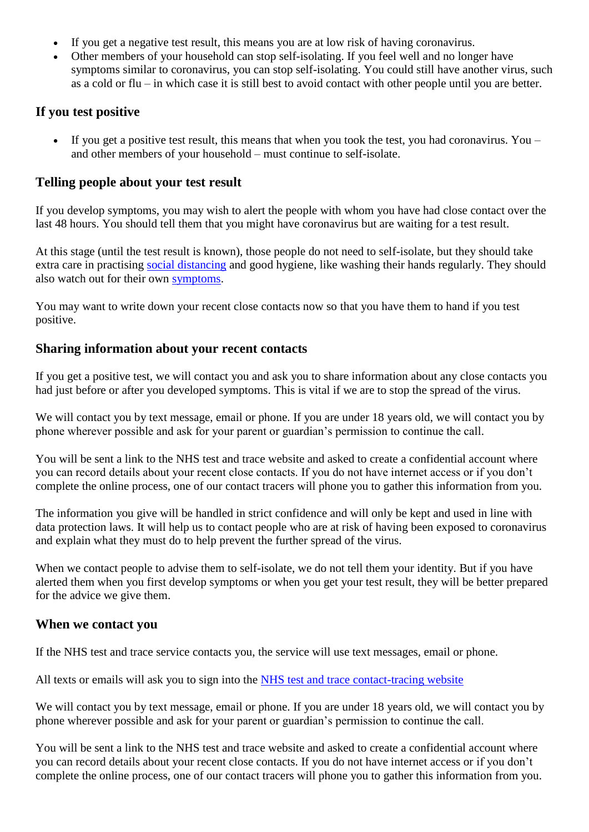- If you get a negative test result, this means you are at low risk of having coronavirus.
- Other members of your household can stop self-isolating. If you feel well and no longer have symptoms similar to coronavirus, you can stop self-isolating. You could still have another virus, such as a cold or flu – in which case it is still best to avoid contact with other people until you are better.

#### **If you test positive**

 If you get a positive test result, this means that when you took the test, you had coronavirus. You – and other members of your household – must continue to self-isolate.

#### **Telling people about your test result**

If you develop symptoms, you may wish to alert the people with whom you have had close contact over the last 48 hours. You should tell them that you might have coronavirus but are waiting for a test result.

At this stage (until the test result is known), those people do not need to self-isolate, but they should take extra care in practising [social distancing](https://www.gov.uk/government/publications/staying-alert-and-safe-social-distancing/staying-alert-and-safe-social-distancing) and good hygiene, like washing their hands regularly. They should also watch out for their own [symptoms.](https://www.nhs.uk/conditions/coronavirus-covid-19/check-if-you-have-coronavirus-symptoms/)

You may want to write down your recent close contacts now so that you have them to hand if you test positive.

#### **Sharing information about your recent contacts**

If you get a positive test, we will contact you and ask you to share information about any close contacts you had just before or after you developed symptoms. This is vital if we are to stop the spread of the virus.

We will contact you by text message, email or phone. If you are under 18 years old, we will contact you by phone wherever possible and ask for your parent or guardian's permission to continue the call.

You will be sent a link to the NHS test and trace website and asked to create a confidential account where you can record details about your recent close contacts. If you do not have internet access or if you don't complete the online process, one of our contact tracers will phone you to gather this information from you.

The information you give will be handled in strict confidence and will only be kept and used in line with data protection laws. It will help us to contact people who are at risk of having been exposed to coronavirus and explain what they must do to help prevent the further spread of the virus.

When we contact people to advise them to self-isolate, we do not tell them your identity. But if you have alerted them when you first develop symptoms or when you get your test result, they will be better prepared for the advice we give them.

#### **When we contact you**

If the NHS test and trace service contacts you, the service will use text messages, email or phone.

All texts or emails will ask you to sign into the [NHS test and trace contact-tracing website](https://contact-tracing.phe.gov.uk/)

We will contact you by text message, email or phone. If you are under 18 years old, we will contact you by phone wherever possible and ask for your parent or guardian's permission to continue the call.

You will be sent a link to the NHS test and trace website and asked to create a confidential account where you can record details about your recent close contacts. If you do not have internet access or if you don't complete the online process, one of our contact tracers will phone you to gather this information from you.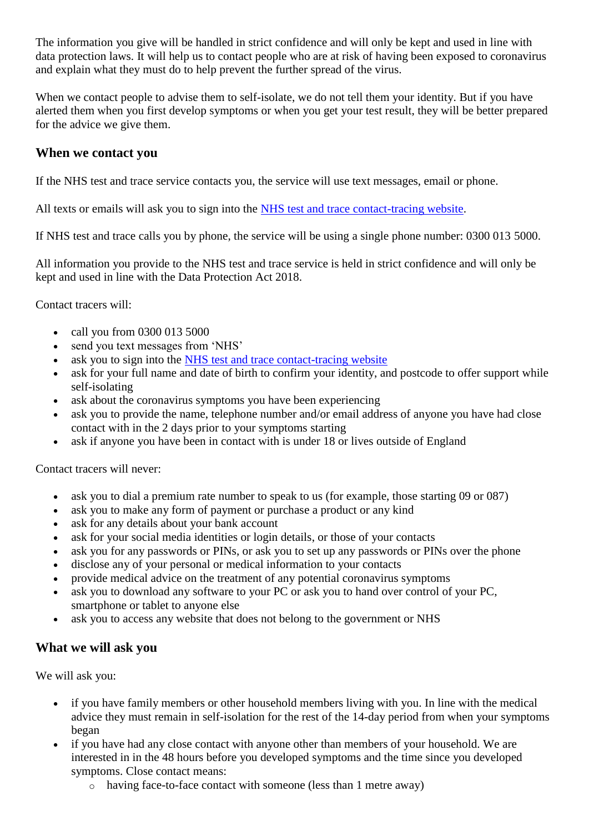The information you give will be handled in strict confidence and will only be kept and used in line with data protection laws. It will help us to contact people who are at risk of having been exposed to coronavirus and explain what they must do to help prevent the further spread of the virus.

When we contact people to advise them to self-isolate, we do not tell them your identity. But if you have alerted them when you first develop symptoms or when you get your test result, they will be better prepared for the advice we give them.

#### **When we contact you**

If the NHS test and trace service contacts you, the service will use text messages, email or phone.

All texts or emails will ask you to sign into the [NHS test and trace contact-tracing website.](https://contact-tracing.phe.gov.uk/)

If NHS test and trace calls you by phone, the service will be using a single phone number: 0300 013 5000.

All information you provide to the NHS test and trace service is held in strict confidence and will only be kept and used in line with the Data Protection Act 2018.

Contact tracers will:

- call you from 0300 013 5000
- send you text messages from 'NHS'
- ask you to sign into the [NHS test and trace contact-tracing website](https://contact-tracing.phe.gov.uk/)
- ask for your full name and date of birth to confirm your identity, and postcode to offer support while self-isolating
- ask about the coronavirus symptoms you have been experiencing
- ask you to provide the name, telephone number and/or email address of anyone you have had close contact with in the 2 days prior to your symptoms starting
- ask if anyone you have been in contact with is under 18 or lives outside of England

Contact tracers will never:

- ask you to dial a premium rate number to speak to us (for example, those starting 09 or 087)
- ask you to make any form of payment or purchase a product or any kind
- ask for any details about your bank account
- ask for your social media identities or login details, or those of your contacts
- ask you for any passwords or PINs, or ask you to set up any passwords or PINs over the phone
- disclose any of your personal or medical information to your contacts
- provide medical advice on the treatment of any potential coronavirus symptoms
- ask you to download any software to your PC or ask you to hand over control of your PC, smartphone or tablet to anyone else
- ask you to access any website that does not belong to the government or NHS

#### **What we will ask you**

We will ask you:

- if you have family members or other household members living with you. In line with the medical advice they must remain in self-isolation for the rest of the 14-day period from when your symptoms began
- if you have had any close contact with anyone other than members of your household. We are interested in in the 48 hours before you developed symptoms and the time since you developed symptoms. Close contact means:
	- o having face-to-face contact with someone (less than 1 metre away)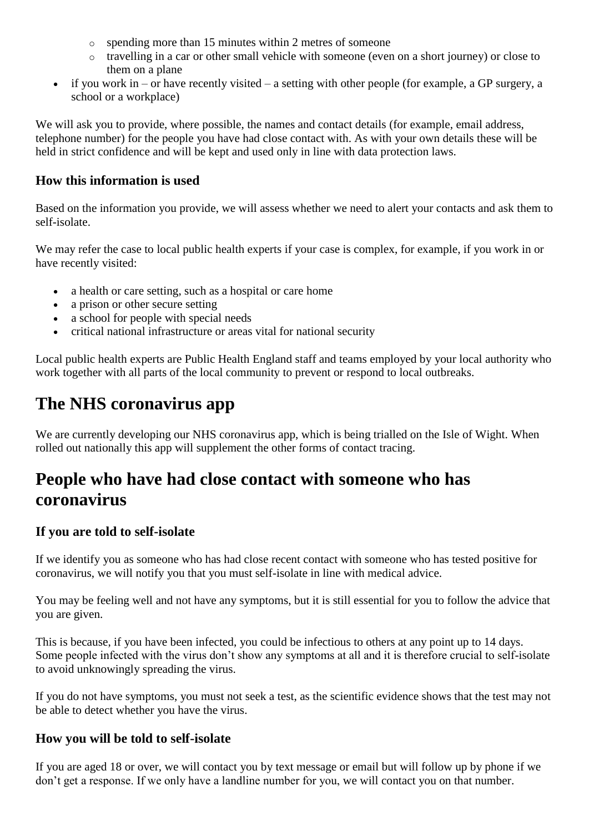- o spending more than 15 minutes within 2 metres of someone
- o travelling in a car or other small vehicle with someone (even on a short journey) or close to them on a plane
- $\bullet$  if you work in or have recently visited a setting with other people (for example, a GP surgery, a school or a workplace)

We will ask you to provide, where possible, the names and contact details (for example, email address, telephone number) for the people you have had close contact with. As with your own details these will be held in strict confidence and will be kept and used only in line with data protection laws.

### **How this information is used**

Based on the information you provide, we will assess whether we need to alert your contacts and ask them to self-isolate.

We may refer the case to local public health experts if your case is complex, for example, if you work in or have recently visited:

- a health or care setting, such as a hospital or care home
- a prison or other secure setting
- a school for people with special needs
- critical national infrastructure or areas vital for national security

Local public health experts are Public Health England staff and teams employed by your local authority who work together with all parts of the local community to prevent or respond to local outbreaks.

# **The NHS coronavirus app**

We are currently developing our NHS coronavirus app, which is being trialled on the Isle of Wight. When rolled out nationally this app will supplement the other forms of contact tracing.

# **People who have had close contact with someone who has coronavirus**

#### **If you are told to self-isolate**

If we identify you as someone who has had close recent contact with someone who has tested positive for coronavirus, we will notify you that you must self-isolate in line with medical advice.

You may be feeling well and not have any symptoms, but it is still essential for you to follow the advice that you are given.

This is because, if you have been infected, you could be infectious to others at any point up to 14 days. Some people infected with the virus don't show any symptoms at all and it is therefore crucial to self-isolate to avoid unknowingly spreading the virus.

If you do not have symptoms, you must not seek a test, as the scientific evidence shows that the test may not be able to detect whether you have the virus.

## **How you will be told to self-isolate**

If you are aged 18 or over, we will contact you by text message or email but will follow up by phone if we don't get a response. If we only have a landline number for you, we will contact you on that number.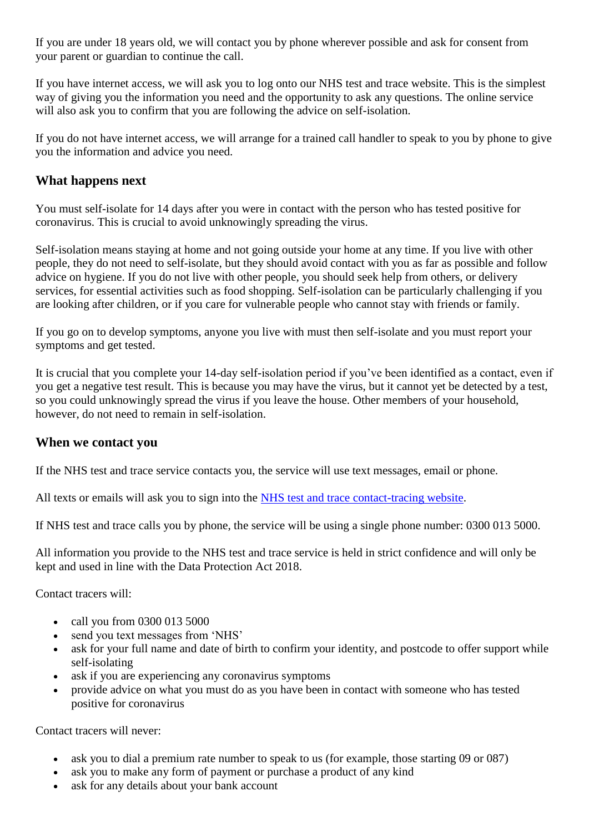If you are under 18 years old, we will contact you by phone wherever possible and ask for consent from your parent or guardian to continue the call.

If you have internet access, we will ask you to log onto our NHS test and trace website. This is the simplest way of giving you the information you need and the opportunity to ask any questions. The online service will also ask you to confirm that you are following the advice on self-isolation.

If you do not have internet access, we will arrange for a trained call handler to speak to you by phone to give you the information and advice you need.

### **What happens next**

You must self-isolate for 14 days after you were in contact with the person who has tested positive for coronavirus. This is crucial to avoid unknowingly spreading the virus.

Self-isolation means staying at home and not going outside your home at any time. If you live with other people, they do not need to self-isolate, but they should avoid contact with you as far as possible and follow advice on hygiene. If you do not live with other people, you should seek help from others, or delivery services, for essential activities such as food shopping. Self-isolation can be particularly challenging if you are looking after children, or if you care for vulnerable people who cannot stay with friends or family.

If you go on to develop symptoms, anyone you live with must then self-isolate and you must report your symptoms and get tested.

It is crucial that you complete your 14-day self-isolation period if you've been identified as a contact, even if you get a negative test result. This is because you may have the virus, but it cannot yet be detected by a test, so you could unknowingly spread the virus if you leave the house. Other members of your household, however, do not need to remain in self-isolation.

#### **When we contact you**

If the NHS test and trace service contacts you, the service will use text messages, email or phone.

All texts or emails will ask you to sign into the [NHS test and trace contact-tracing website.](https://contact-tracing.phe.gov.uk/)

If NHS test and trace calls you by phone, the service will be using a single phone number: 0300 013 5000.

All information you provide to the NHS test and trace service is held in strict confidence and will only be kept and used in line with the Data Protection Act 2018.

Contact tracers will:

- call you from 0300 013 5000
- send you text messages from 'NHS'
- ask for your full name and date of birth to confirm your identity, and postcode to offer support while self-isolating
- ask if you are experiencing any coronavirus symptoms
- provide advice on what you must do as you have been in contact with someone who has tested positive for coronavirus

Contact tracers will never:

- ask you to dial a premium rate number to speak to us (for example, those starting 09 or 087)
- ask you to make any form of payment or purchase a product of any kind
- ask for any details about your bank account